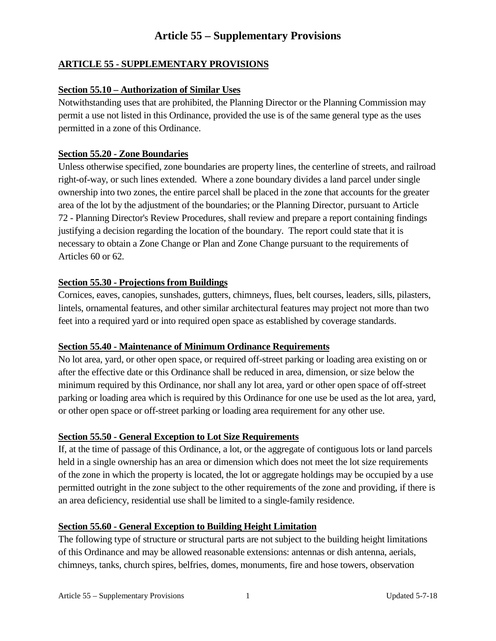## **ARTICLE 55 - SUPPLEMENTARY PROVISIONS**

#### **Section 55.10 – Authorization of Similar Uses**

Notwithstanding uses that are prohibited, the Planning Director or the Planning Commission may permit a use not listed in this Ordinance, provided the use is of the same general type as the uses permitted in a zone of this Ordinance.

#### **Section 55.20 - Zone Boundaries**

Unless otherwise specified, zone boundaries are property lines, the centerline of streets, and railroad right-of-way, or such lines extended. Where a zone boundary divides a land parcel under single ownership into two zones, the entire parcel shall be placed in the zone that accounts for the greater area of the lot by the adjustment of the boundaries; or the Planning Director, pursuant to Article 72 - Planning Director's Review Procedures, shall review and prepare a report containing findings justifying a decision regarding the location of the boundary. The report could state that it is necessary to obtain a Zone Change or Plan and Zone Change pursuant to the requirements of Articles 60 or 62.

#### **Section 55.30 - Projections from Buildings**

Cornices, eaves, canopies, sunshades, gutters, chimneys, flues, belt courses, leaders, sills, pilasters, lintels, ornamental features, and other similar architectural features may project not more than two feet into a required yard or into required open space as established by coverage standards.

#### **Section 55.40 - Maintenance of Minimum Ordinance Requirements**

No lot area, yard, or other open space, or required off-street parking or loading area existing on or after the effective date or this Ordinance shall be reduced in area, dimension, or size below the minimum required by this Ordinance, nor shall any lot area, yard or other open space of off-street parking or loading area which is required by this Ordinance for one use be used as the lot area, yard, or other open space or off-street parking or loading area requirement for any other use.

#### **Section 55.50 - General Exception to Lot Size Requirements**

If, at the time of passage of this Ordinance, a lot, or the aggregate of contiguous lots or land parcels held in a single ownership has an area or dimension which does not meet the lot size requirements of the zone in which the property is located, the lot or aggregate holdings may be occupied by a use permitted outright in the zone subject to the other requirements of the zone and providing, if there is an area deficiency, residential use shall be limited to a single-family residence.

#### **Section 55.60 - General Exception to Building Height Limitation**

The following type of structure or structural parts are not subject to the building height limitations of this Ordinance and may be allowed reasonable extensions: antennas or dish antenna, aerials, chimneys, tanks, church spires, belfries, domes, monuments, fire and hose towers, observation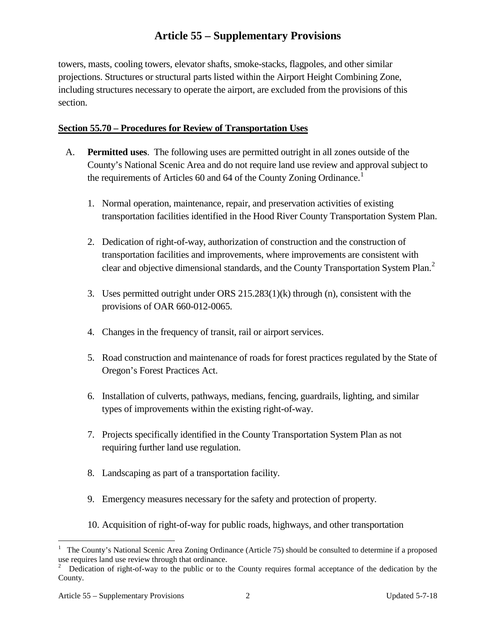towers, masts, cooling towers, elevator shafts, smoke-stacks, flagpoles, and other similar projections. Structures or structural parts listed within the Airport Height Combining Zone, including structures necessary to operate the airport, are excluded from the provisions of this section.

### **Section 55.70 – Procedures for Review of Transportation Uses**

- A. **Permitted uses**. The following uses are permitted outright in all zones outside of the County's National Scenic Area and do not require land use review and approval subject to the requirements of Articles 60 and 64 of the County Zoning Ordinance.<sup>[1](#page-1-0)</sup>
	- 1. Normal operation, maintenance, repair, and preservation activities of existing transportation facilities identified in the Hood River County Transportation System Plan.
	- 2. Dedication of right-of-way, authorization of construction and the construction of transportation facilities and improvements, where improvements are consistent with clear and objective dimensional standards, and the County Transportation System Plan.<sup>[2](#page-1-1)</sup>
	- 3. Uses permitted outright under ORS 215.283(1)(k) through (n), consistent with the provisions of OAR 660-012-0065.
	- 4. Changes in the frequency of transit, rail or airport services.
	- 5. Road construction and maintenance of roads for forest practices regulated by the State of Oregon's Forest Practices Act.
	- 6. Installation of culverts, pathways, medians, fencing, guardrails, lighting, and similar types of improvements within the existing right-of-way.
	- 7. Projects specifically identified in the County Transportation System Plan as not requiring further land use regulation.
	- 8. Landscaping as part of a transportation facility.
	- 9. Emergency measures necessary for the safety and protection of property.
	- 10. Acquisition of right-of-way for public roads, highways, and other transportation

<span id="page-1-0"></span> $\frac{1}{1}$ <sup>1</sup> The County's National Scenic Area Zoning Ordinance (Article 75) should be consulted to determine if a proposed use requires land use review through that ordinance.

<span id="page-1-1"></span><sup>2</sup> Dedication of right-of-way to the public or to the County requires formal acceptance of the dedication by the County.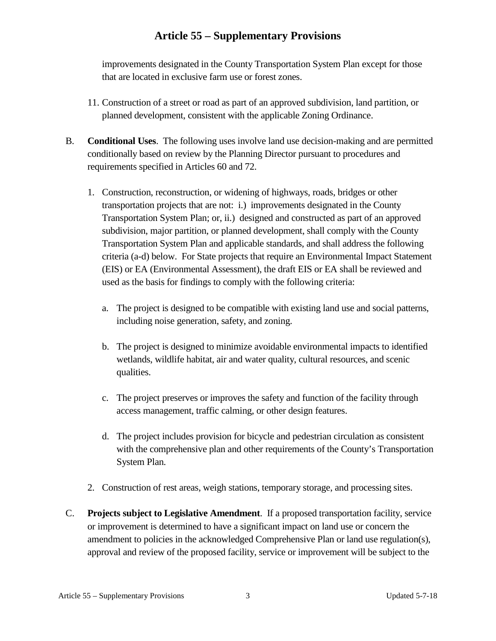improvements designated in the County Transportation System Plan except for those that are located in exclusive farm use or forest zones.

- 11. Construction of a street or road as part of an approved subdivision, land partition, or planned development, consistent with the applicable Zoning Ordinance.
- B. **Conditional Uses**. The following uses involve land use decision-making and are permitted conditionally based on review by the Planning Director pursuant to procedures and requirements specified in Articles 60 and 72.
	- 1. Construction, reconstruction, or widening of highways, roads, bridges or other transportation projects that are not: i.) improvements designated in the County Transportation System Plan; or, ii.) designed and constructed as part of an approved subdivision, major partition, or planned development, shall comply with the County Transportation System Plan and applicable standards, and shall address the following criteria (a-d) below. For State projects that require an Environmental Impact Statement (EIS) or EA (Environmental Assessment), the draft EIS or EA shall be reviewed and used as the basis for findings to comply with the following criteria:
		- a. The project is designed to be compatible with existing land use and social patterns, including noise generation, safety, and zoning.
		- b. The project is designed to minimize avoidable environmental impacts to identified wetlands, wildlife habitat, air and water quality, cultural resources, and scenic qualities.
		- c. The project preserves or improves the safety and function of the facility through access management, traffic calming, or other design features.
		- d. The project includes provision for bicycle and pedestrian circulation as consistent with the comprehensive plan and other requirements of the County's Transportation System Plan.
	- 2. Construction of rest areas, weigh stations, temporary storage, and processing sites.
- C. **Projects subject to Legislative Amendment**. If a proposed transportation facility, service or improvement is determined to have a significant impact on land use or concern the amendment to policies in the acknowledged Comprehensive Plan or land use regulation(s), approval and review of the proposed facility, service or improvement will be subject to the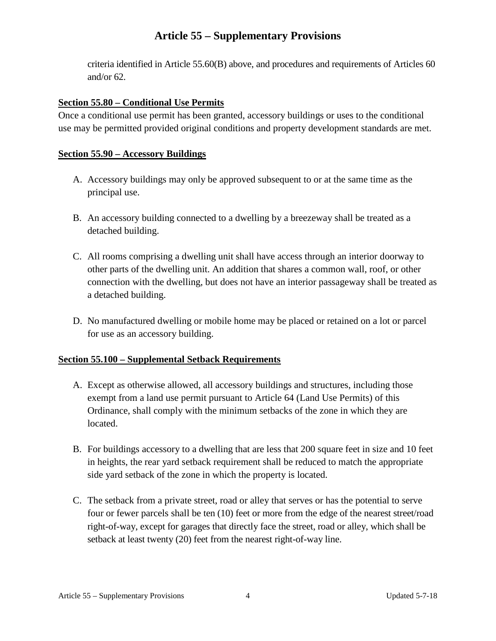criteria identified in Article 55.60(B) above, and procedures and requirements of Articles 60 and/or 62.

## **Section 55.80 – Conditional Use Permits**

Once a conditional use permit has been granted, accessory buildings or uses to the conditional use may be permitted provided original conditions and property development standards are met.

## **Section 55.90 – Accessory Buildings**

- A. Accessory buildings may only be approved subsequent to or at the same time as the principal use.
- B. An accessory building connected to a dwelling by a breezeway shall be treated as a detached building.
- C. All rooms comprising a dwelling unit shall have access through an interior doorway to other parts of the dwelling unit. An addition that shares a common wall, roof, or other connection with the dwelling, but does not have an interior passageway shall be treated as a detached building.
- D. No manufactured dwelling or mobile home may be placed or retained on a lot or parcel for use as an accessory building.

## **Section 55.100 – Supplemental Setback Requirements**

- A. Except as otherwise allowed, all accessory buildings and structures, including those exempt from a land use permit pursuant to Article 64 (Land Use Permits) of this Ordinance, shall comply with the minimum setbacks of the zone in which they are located.
- B. For buildings accessory to a dwelling that are less that 200 square feet in size and 10 feet in heights, the rear yard setback requirement shall be reduced to match the appropriate side yard setback of the zone in which the property is located.
- C. The setback from a private street, road or alley that serves or has the potential to serve four or fewer parcels shall be ten (10) feet or more from the edge of the nearest street/road right-of-way, except for garages that directly face the street, road or alley, which shall be setback at least twenty (20) feet from the nearest right-of-way line.